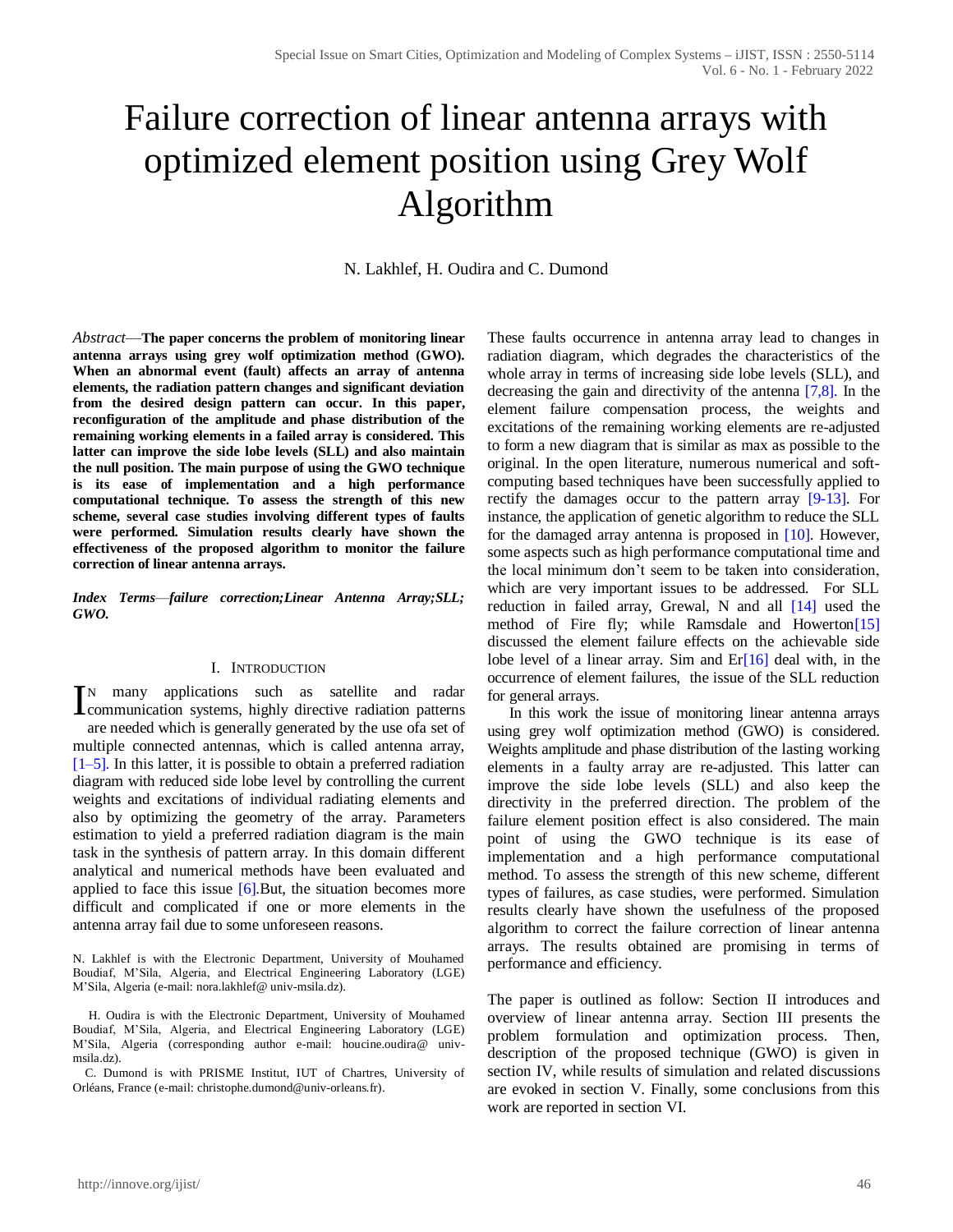# Failure correction of linear antenna arrays with optimized element position using Grey Wolf Algorithm

N. Lakhlef, H. Oudira and C. Dumond

*Abstract*—**The paper concerns the problem of monitoring linear antenna arrays using grey wolf optimization method (GWO). When an abnormal event (fault) affects an array of antenna elements, the radiation pattern changes and significant deviation from the desired design pattern can occur. In this paper, reconfiguration of the amplitude and phase distribution of the remaining working elements in a failed array is considered. This latter can improve the side lobe levels (SLL) and also maintain the null position. The main purpose of using the GWO technique is its ease of implementation and a high performance computational technique. To assess the strength of this new scheme, several case studies involving different types of faults were performed. Simulation results clearly have shown the effectiveness of the proposed algorithm to monitor the failure correction of linear antenna arrays.**

*Index Terms*—*failure correction;Linear Antenna Array;SLL; GWO.*

#### I. INTRODUCTION

N many applications such as satellite and radar IN many applications such as satellite and radar communication systems, highly directive radiation patterns are needed which is generally generated by the use ofa set of multiple connected antennas, which is called antenna array,  $[1–5]$ . In this latter, it is possible to obtain a preferred radiation diagram with reduced side lobe level by controlling the current weights and excitations of individual radiating elements and also by optimizing the geometry of the array. Parameters estimation to yield a preferred radiation diagram is the main task in the synthesis of pattern array. In this domain different analytical and numerical methods have been evaluated and applied to face this issue  $[6]$ . But, the situation becomes more difficult and complicated if one or more elements in the antenna array fail due to some unforeseen reasons.

N. Lakhlef is with the Electronic Department, University of Mouhamed Boudiaf, M'Sila, Algeria, and Electrical Engineering Laboratory (LGE) M'Sila, Algeria (e-mail: nora.lakhlef@ univ-msila.dz).

H. Oudira is with the Electronic Department, University of Mouhamed Boudiaf, M'Sila, Algeria, and Electrical Engineering Laboratory (LGE) M'Sila, Algeria (corresponding author e-mail: houcine.oudira@ univmsila.dz).

 C. Dumond is with PRISME Institut, IUT of Chartres, University of Orléans, France (e-mail: christophe.dumond*@*univ*-*orleans*.*fr).

These faults occurrence in antenna array lead to changes in radiation diagram, which degrades the characteristics of the whole array in terms of increasing side lobe levels (SLL), and decreasing the gain and directivity of the antenna [7,8]. In the element failure compensation process, the weights and excitations of the remaining working elements are re-adjusted to form a new diagram that is similar as max as possible to the original. In the open literature, numerous numerical and softcomputing based techniques have been successfully applied to rectify the damages occur to the pattern array [9-13]. For instance, the application of genetic algorithm to reduce the SLL for the damaged array antenna is proposed in [10]. However, some aspects such as high performance computational time and the local minimum don't seem to be taken into consideration, which are very important issues to be addressed. For SLL reduction in failed array, Grewal, N and all [14] used the method of Fire fly; while Ramsdale and Howerton<sup>[15]</sup> discussed the element failure effects on the achievable side lobe level of a linear array. Sim and  $Er[16]$  deal with, in the occurrence of element failures, the issue of the SLL reduction for general arrays.

 In this work the issue of monitoring linear antenna arrays using grey wolf optimization method (GWO) is considered. Weights amplitude and phase distribution of the lasting working elements in a faulty array are re-adjusted. This latter can improve the side lobe levels (SLL) and also keep the directivity in the preferred direction. The problem of the failure element position effect is also considered. The main point of using the GWO technique is its ease of implementation and a high performance computational method. To assess the strength of this new scheme, different types of failures, as case studies, were performed. Simulation results clearly have shown the usefulness of the proposed algorithm to correct the failure correction of linear antenna arrays. The results obtained are promising in terms of performance and efficiency.

The paper is outlined as follow: Section II introduces and overview of linear antenna array. Section III presents the problem formulation and optimization process. Then, description of the proposed technique (GWO) is given in section IV, while results of simulation and related discussions are evoked in section V. Finally, some conclusions from this work are reported in section VI.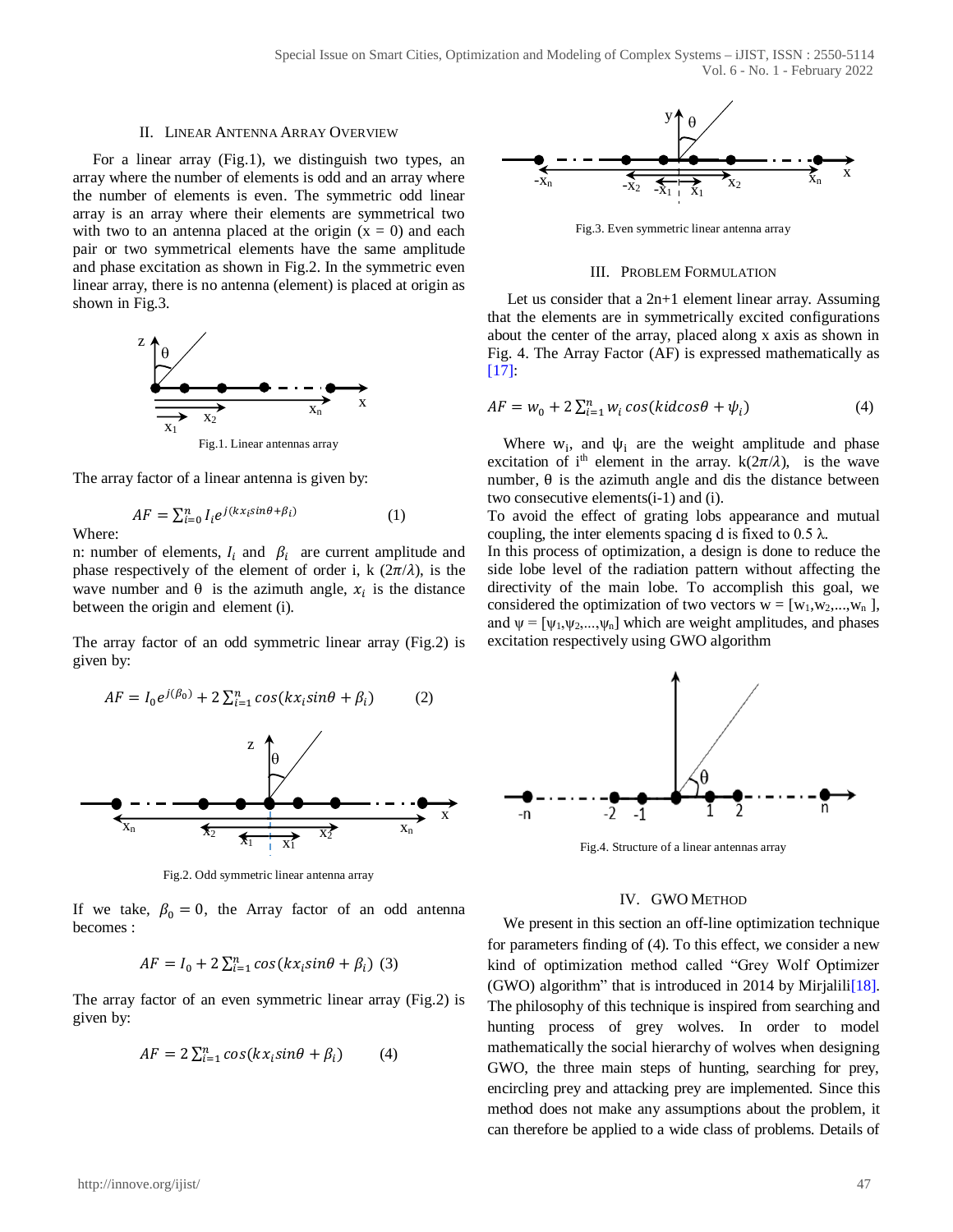#### II. LINEAR ANTENNA ARRAY OVERVIEW

 For a linear array (Fig.1), we distinguish two types, an array where the number of elements is odd and an array where the number of elements is even. The symmetric odd linear array is an array where their elements are symmetrical two with two to an antenna placed at the origin  $(x = 0)$  and each pair or two symmetrical elements have the same amplitude and phase excitation as shown in Fig.2. In the symmetric even linear array, there is no antenna (element) is placed at origin as shown in Fig.3.



The array factor of a linear antenna is given by:

$$
AF = \sum_{i=0}^{n} I_i e^{j(kx_i sin\theta + \beta_i)}
$$
 (1)

Where:

n: number of elements,  $I_i$  and  $\beta_i$  are current amplitude and phase respectively of the element of order i, k  $(2\pi/\lambda)$ , is the wave number and  $\theta$  is the azimuth angle,  $x_i$  is the distance between the origin and element (i).

The array factor of an odd symmetric linear array (Fig.2) is given by:



Fig.2. Odd symmetric linear antenna array

If we take,  $\beta_0 = 0$ , the Array factor of an odd antenna becomes :

$$
AF = I_0 + 2\sum_{i=1}^{n} \cos(kx_i \sin\theta + \beta_i)
$$
 (3)

The array factor of an even symmetric linear array (Fig.2) is given by:

$$
AF = 2\sum_{i=1}^{n} \cos(kx_i \sin\theta + \beta_i)
$$
 (4)



Fig.3. Even symmetric linear antenna array

#### III. PROBLEM FORMULATION

 Let us consider that a 2n+1 element linear array. Assuming that the elements are in symmetrically excited configurations about the center of the array, placed along x axis as shown in Fig. 4. The Array Factor (AF) is expressed mathematically as  $[17]$ :

$$
AF = w_0 + 2\sum_{i=1}^{n} w_i \cos(kid\cos\theta + \psi_i)
$$
 (4)

Where  $w_i$ , and  $\psi_i$  are the weight amplitude and phase excitation of i<sup>th</sup> element in the array.  $k(2\pi/\lambda)$ , is the wave number,  $\theta$  is the azimuth angle and dis the distance between two consecutive elements(i-1) and (i).

To avoid the effect of grating lobs appearance and mutual coupling, the inter elements spacing d is fixed to 0.5  $\lambda$ .

In this process of optimization, a design is done to reduce the side lobe level of the radiation pattern without affecting the directivity of the main lobe. To accomplish this goal, we considered the optimization of two vectors  $w = [w_1, w_2, ..., w_n]$ , and  $\psi = [\psi_1, \psi_2, ..., \psi_n]$  which are weight amplitudes, and phases excitation respectively using GWO algorithm



Fig.4. Structure of a linear antennas array

## IV. GWO METHOD

We present in this section an off-line optimization technique for parameters finding of (4). To this effect, we consider a new kind of optimization method called "Grey Wolf Optimizer (GWO) algorithm" that is introduced in 2014 by Mirjalili $[18]$ . The philosophy of this technique is inspired from searching and hunting process of grey wolves. In order to model mathematically the social hierarchy of wolves when designing GWO, the three main steps of hunting, searching for prey, encircling prey and attacking prey are implemented. Since this method does not make any assumptions about the problem, it can therefore be applied to a wide class of problems. Details of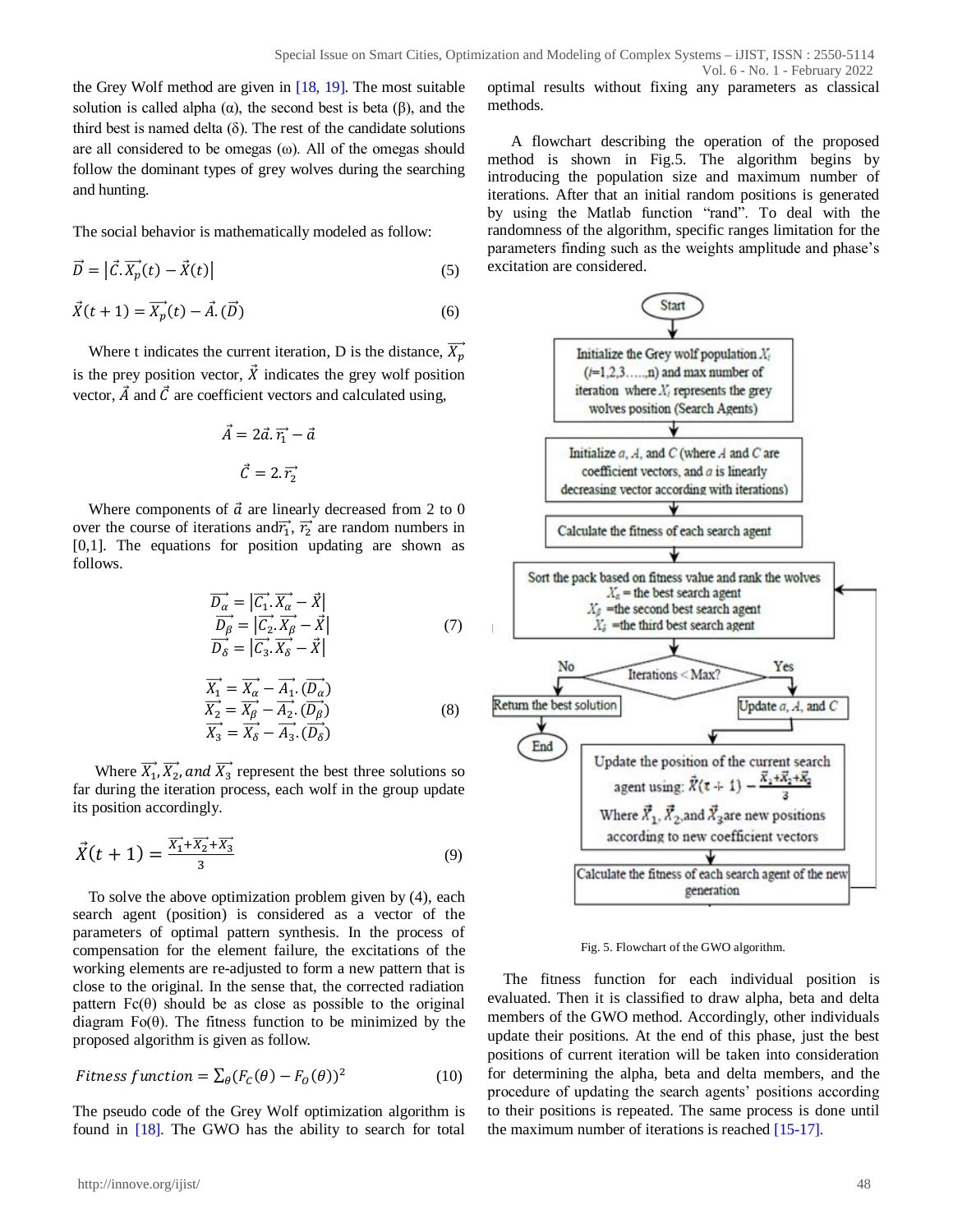the Grey Wolf method are given in [18, 19]. The most suitable solution is called alpha  $(\alpha)$ , the second best is beta  $(\beta)$ , and the third best is named delta  $(\delta)$ . The rest of the candidate solutions are all considered to be omegas (ω). All of the omegas should follow the dominant types of grey wolves during the searching and hunting.

The social behavior is mathematically modeled as follow:

$$
\vec{D} = \left| \vec{C} \cdot \vec{X_p}(t) - \vec{X}(t) \right| \tag{5}
$$

$$
\vec{X}(t+1) = \vec{X_p}(t) - \vec{A} \cdot (\vec{D})
$$
\n(6)

Where t indicates the current iteration, D is the distance,  $\overrightarrow{X_p}$ is the prey position vector,  $\vec{X}$  indicates the grey wolf position vector,  $\vec{A}$  and  $\vec{C}$  are coefficient vectors and calculated using,

$$
\vec{A} = 2\vec{a}.\vec{r_1} - \vec{a}
$$

$$
\vec{C} = 2.\vec{r_2}
$$

Where components of  $\vec{a}$  are linearly decreased from 2 to 0 over the course of iterations and  $\vec{r_1}$ ,  $\vec{r_2}$  are random numbers in [0,1]. The equations for position updating are shown as follows.

$$
\overrightarrow{D_{\alpha}} = |\overrightarrow{C_1} \cdot \overrightarrow{X_{\alpha}} - \overrightarrow{X}|
$$
\n
$$
\overrightarrow{D_{\beta}} = |\overrightarrow{C_2} \cdot \overrightarrow{X_{\beta}} - \overrightarrow{X}|
$$
\n
$$
\overrightarrow{D_{\delta}} = |\overrightarrow{C_3} \cdot \overrightarrow{X_{\delta}} - \overrightarrow{X}|
$$
\n(7)

$$
\overrightarrow{X_1} = \overrightarrow{X_\alpha} - \overrightarrow{A_1} \cdot (\overrightarrow{D_\alpha})
$$
\n
$$
\overrightarrow{X_2} = \overrightarrow{X_\beta} - \overrightarrow{A_2} \cdot (\overrightarrow{D_\beta})
$$
\n
$$
\overrightarrow{X_3} = \overrightarrow{X_\delta} - \overrightarrow{A_3} \cdot (\overrightarrow{D_\delta})
$$
\n(8)

Where  $\overrightarrow{X_1}, \overrightarrow{X_2}$ , and  $\overrightarrow{X_3}$  represent the best three solutions so far during the iteration process, each wolf in the group update its position accordingly.

$$
\vec{X}(t+1) = \frac{\vec{X_1} + \vec{X_2} + \vec{X_3}}{3} \tag{9}
$$

To solve the above optimization problem given by (4), each search agent (position) is considered as a vector of the parameters of optimal pattern synthesis. In the process of compensation for the element failure, the excitations of the working elements are re-adjusted to form a new pattern that is close to the original. In the sense that, the corrected radiation pattern  $Fc(\theta)$  should be as close as possible to the original diagram  $F<sub>0</sub>(\theta)$ . The fitness function to be minimized by the proposed algorithm is given as follow.

$$
Fitness function = \sum_{\theta} (F_c(\theta) - F_o(\theta))^2
$$
 (10)

The pseudo code of the Grey Wolf optimization algorithm is found in [18]. The GWO has the ability to search for total

http://innove.org/ijist/ 48

optimal results without fixing any parameters as classical methods.

A flowchart describing the operation of the proposed method is shown in Fig.5. The algorithm begins by introducing the population size and maximum number of iterations. After that an initial random positions is generated by using the Matlab function "rand". To deal with the randomness of the algorithm, specific ranges limitation for the parameters finding such as the weights amplitude and phase's excitation are considered.



Fig. 5. Flowchart of the GWO algorithm.

The fitness function for each individual position is evaluated. Then it is classified to draw alpha, beta and delta members of the GWO method. Accordingly, other individuals update their positions. At the end of this phase, just the best positions of current iteration will be taken into consideration for determining the alpha, beta and delta members, and the procedure of updating the search agents' positions according to their positions is repeated. The same process is done until the maximum number of iterations is reached [15-17].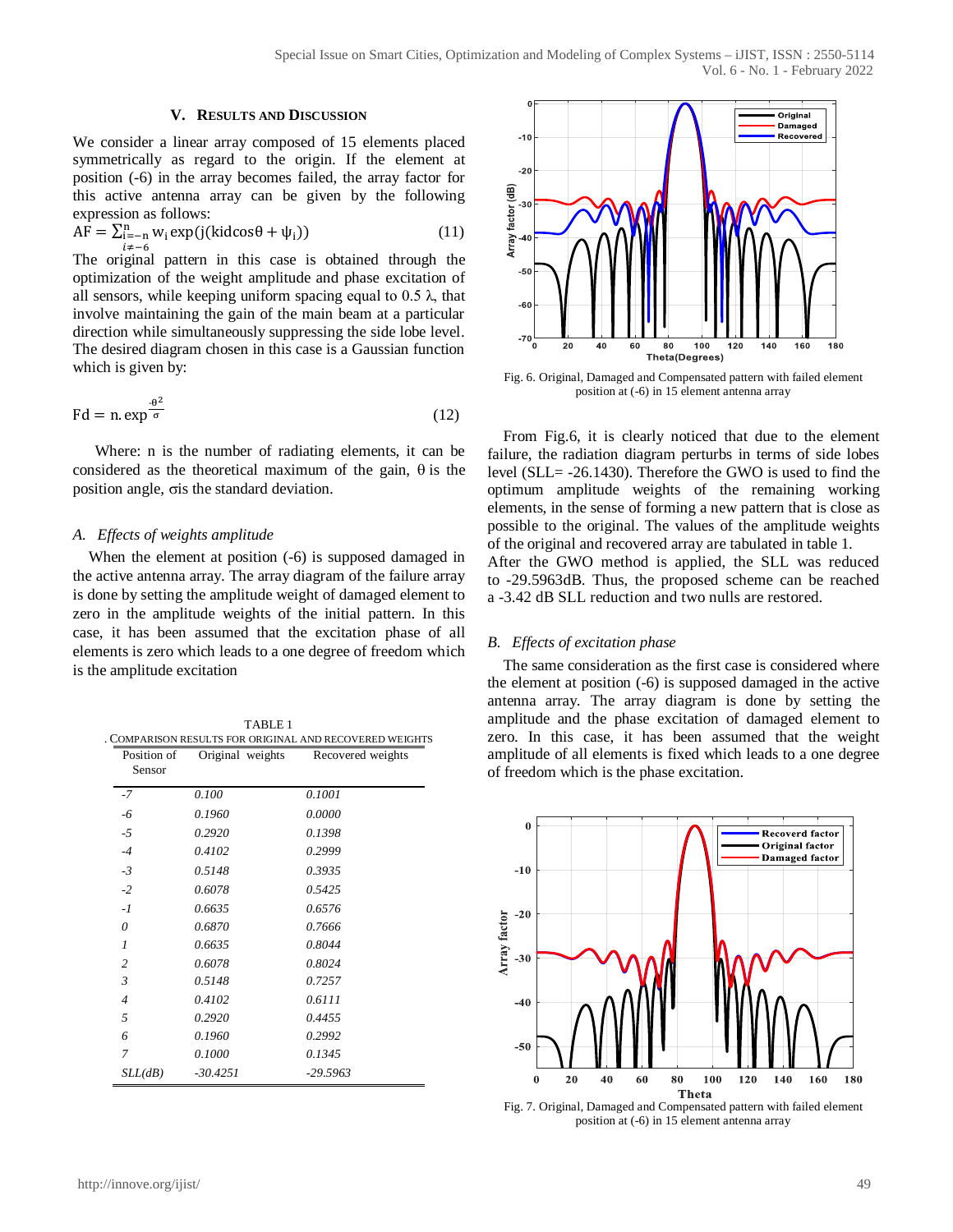#### **V. RESULTS AND DISCUSSION**

We consider a linear array composed of 15 elements placed symmetrically as regard to the origin. If the element at position (-6) in the array becomes failed, the array factor for this active antenna array can be given by the following expression as follows:

$$
\widehat{AF} = \sum_{\substack{i=-n \\ i \neq -6}}^{n} w_i \exp(j(\text{kidcos}\theta + \psi_i))
$$
\n(11)

The original pattern in this case is obtained through the optimization of the weight amplitude and phase excitation of all sensors, while keeping uniform spacing equal to  $0.5 \lambda$ , that involve maintaining the gain of the main beam at a particular direction while simultaneously suppressing the side lobe level. The desired diagram chosen in this case is a Gaussian function which is given by:

$$
Fd = n. \exp^{\frac{-\theta^2}{\sigma}}
$$
 (12)

Where: n is the number of radiating elements, it can be considered as the theoretical maximum of the gain,  $\theta$  is the position angle,  $\sigma$ is the standard deviation.

## *A. Effects of weights amplitude*

When the element at position (-6) is supposed damaged in the active antenna array. The array diagram of the failure array is done by setting the amplitude weight of damaged element to zero in the amplitude weights of the initial pattern. In this case, it has been assumed that the excitation phase of all elements is zero which leads to a one degree of freedom which is the amplitude excitation

| Position of<br>Sensor | Original weights | Recovered weights |
|-----------------------|------------------|-------------------|
| $-7$                  | 0.100            | 0.1001            |
| -6                    | 0.1960           | 0.0000            |
| $-5$                  | 0.2920           | 0.1398            |
| $-4$                  | 0.4102           | 0.2999            |
| $-3$                  | 0.5148           | 0.3935            |
| $-2$                  | 0.6078           | 0.5425            |
| $-1$                  | 0.6635           | 0.6576            |
| $\theta$              | 0.6870           | 0.7666            |
| $\mathcal{I}$         | 0.6635           | 0.8044            |
| $\overline{c}$        | 0.6078           | 0.8024            |
| 3                     | 0.5148           | 0.7257            |
| $\overline{4}$        | 0.4102           | 0.6111            |
| 5                     | 0.2920           | 0.4455            |
| 6                     | 0.1960           | 0.2992            |
| 7                     | 0.1000           | 0.1345            |
| SLL(dB)               | $-30.4251$       | $-29.5963$        |



Fig. 6. Original, Damaged and Compensated pattern with failed element position at (-6) in 15 element antenna array

From Fig.6, it is clearly noticed that due to the element failure, the radiation diagram perturbs in terms of side lobes level (SLL= -26.1430). Therefore the GWO is used to find the optimum amplitude weights of the remaining working elements, in the sense of forming a new pattern that is close as possible to the original. The values of the amplitude weights of the original and recovered array are tabulated in table 1. After the GWO method is applied, the SLL was reduced to -29.5963dB. Thus, the proposed scheme can be reached a -3.42 dB SLL reduction and two nulls are restored.

#### *B. Effects of excitation phase*

The same consideration as the first case is considered where the element at position (-6) is supposed damaged in the active antenna array. The array diagram is done by setting the amplitude and the phase excitation of damaged element to zero. In this case, it has been assumed that the weight amplitude of all elements is fixed which leads to a one degree of freedom which is the phase excitation.



Fig. 7. Original, Damaged and Compensated pattern with failed element position at (-6) in 15 element antenna array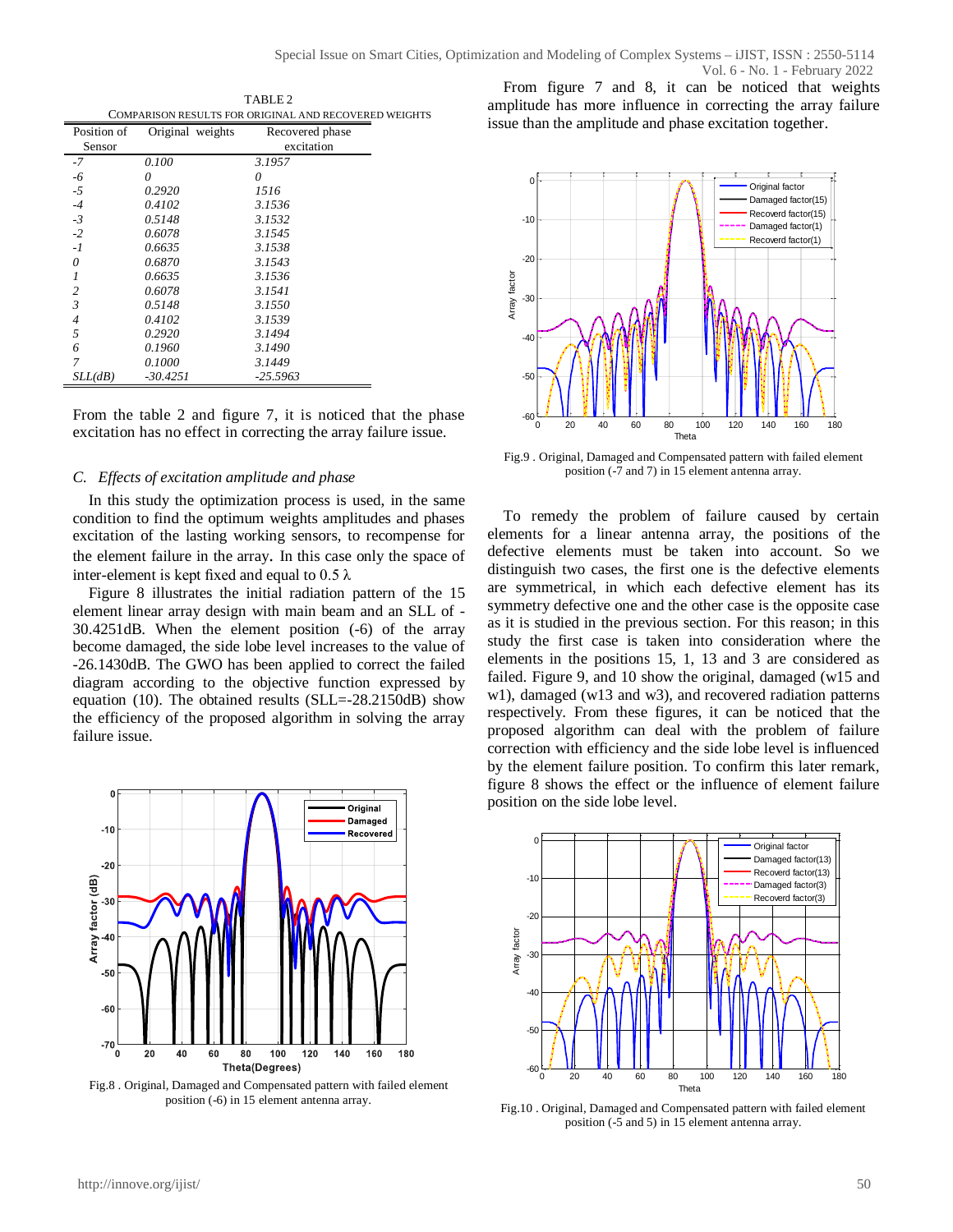TABLE 2 COMPARISON RESULTS FOR ORIGINAL AND RECOVERED WEIGHTS

| Position of    | Original weights | Recovered phase |
|----------------|------------------|-----------------|
| Sensor         |                  | excitation      |
| $-7$           | 0.100            | 3.1957          |
| -6             | 0                | 0               |
| $-5$           | 0.2920           | 1516            |
| $-4$           | 0.4102           | 3.1536          |
| $-3$           | 0.5148           | 3.1532          |
| $-2$           | 0.6078           | 3.1545          |
| $-I$           | 0.6635           | 3.1538          |
| 0              | 0.6870           | 3.1543          |
| 1              | 0.6635           | 3.1536          |
| $\overline{2}$ | 0.6078           | 3.1541          |
| $\overline{3}$ | 0.5148           | 3.1550          |
| $\overline{4}$ | 0.4102           | 3.1539          |
| 5              | 0.2920           | 3.1494          |
| 6              | 0.1960           | 3.1490          |
| 7              | 0.1000           | 3.1449          |
| SLL(dB)        | $-30.4251$       | $-25.5963$      |

From the table 2 and figure 7, it is noticed that the phase excitation has no effect in correcting the array failure issue.

## *C. Effects of excitation amplitude and phase*

In this study the optimization process is used, in the same condition to find the optimum weights amplitudes and phases excitation of the lasting working sensors, to recompense for the element failure in the array. In this case only the space of inter-element is kept fixed and equal to  $0.5 \lambda$ 

Figure 8 illustrates the initial radiation pattern of the 15 element linear array design with main beam and an SLL of - 30.4251dB. When the element position (-6) of the array become damaged, the side lobe level increases to the value of -26.1430dB. The GWO has been applied to correct the failed diagram according to the objective function expressed by equation (10). The obtained results (SLL=-28.2150dB) show the efficiency of the proposed algorithm in solving the array failure issue.



Fig.8 . Original, Damaged and Compensated pattern with failed element position (-6) in 15 element antenna array.





Fig.9 . Original, Damaged and Compensated pattern with failed element position (-7 and 7) in 15 element antenna array.

To remedy the problem of failure caused by certain elements for a linear antenna array, the positions of the defective elements must be taken into account. So we distinguish two cases, the first one is the defective elements are symmetrical, in which each defective element has its symmetry defective one and the other case is the opposite case as it is studied in the previous section. For this reason; in this study the first case is taken into consideration where the elements in the positions 15, 1, 13 and 3 are considered as failed. Figure 9, and 10 show the original, damaged (w15 and w1), damaged (w13 and w3), and recovered radiation patterns respectively. From these figures, it can be noticed that the proposed algorithm can deal with the problem of failure correction with efficiency and the side lobe level is influenced by the element failure position. To confirm this later remark, figure 8 shows the effect or the influence of element failure position on the side lobe level.



Fig.10 . Original, Damaged and Compensated pattern with failed element position (-5 and 5) in 15 element antenna array.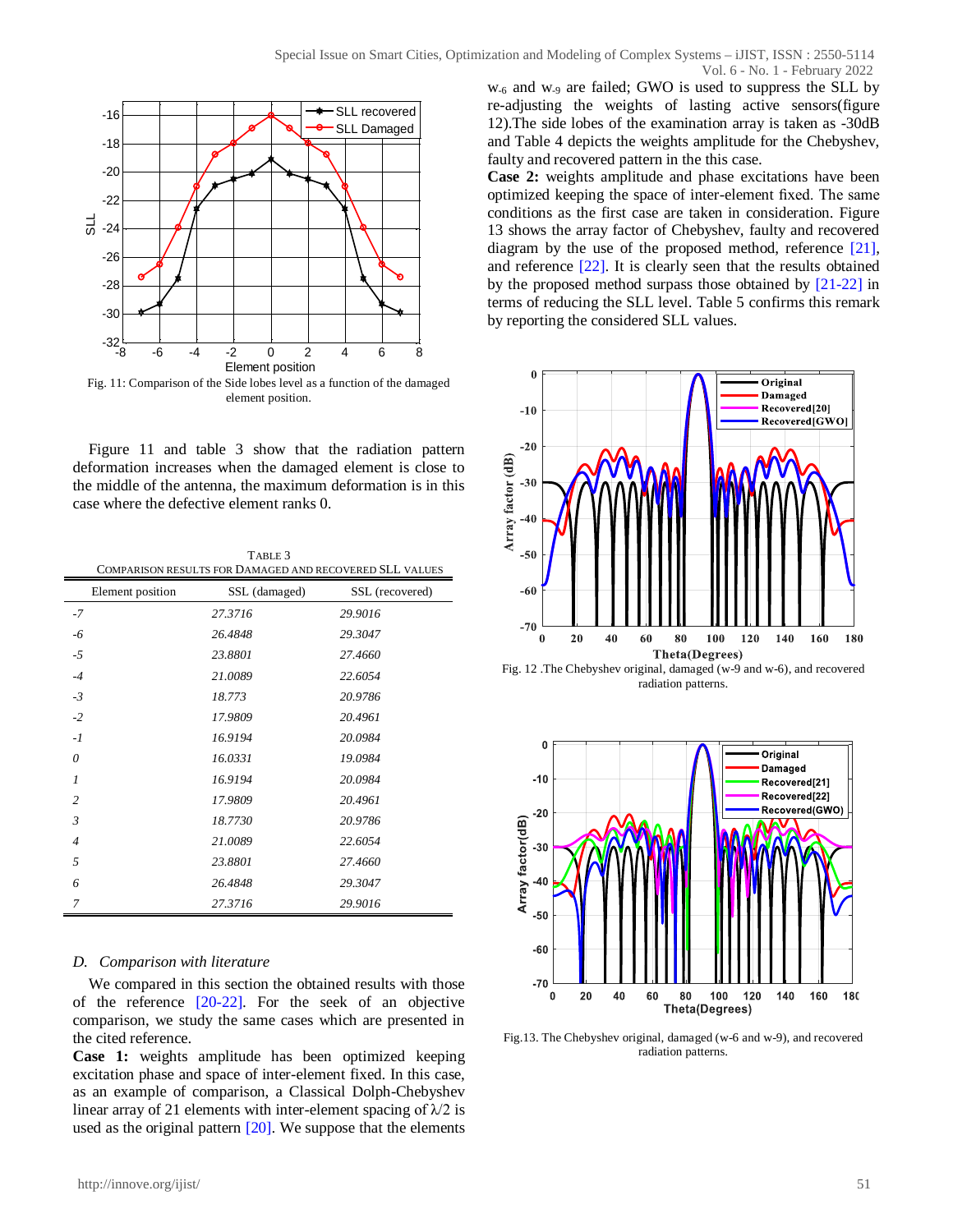

Figure 11 and table 3 show that the radiation pattern deformation increases when the damaged element is close to the middle of the antenna, the maximum deformation is in this case where the defective element ranks 0.

| TABLE 3                                                 |  |
|---------------------------------------------------------|--|
| COMPARISON RESULTS FOR DAMAGED AND RECOVERED SLL VALUES |  |

| Element position | SSL (damaged) | SSL (recovered) |
|------------------|---------------|-----------------|
| $-7$             | 27.3716       | 29.9016         |
| -6               | 26.4848       | 29.3047         |
| -5               | 23.8801       | 27.4660         |
| $-4$             | 21.0089       | 22.6054         |
| $-3$             | 18.773        | 20.9786         |
| $-2$             | 17.9809       | 20.4961         |
| $-I$             | 16.9194       | 20.0984         |
| 0                | 16.0331       | 19.0984         |
| $\overline{I}$   | 16.9194       | 20.0984         |
| $\overline{c}$   | 17.9809       | 20.4961         |
| $\mathfrak{Z}$   | 18.7730       | 20.9786         |
| $\overline{4}$   | 21.0089       | 22.6054         |
| 5                | 23.8801       | 27.4660         |
| 6                | 26.4848       | 29.3047         |
| 7                | 27.3716       | 29.9016         |

## *D. Comparison with literature*

We compared in this section the obtained results with those of the reference [20-22]. For the seek of an objective comparison, we study the same cases which are presented in the cited reference.

**Case 1:** weights amplitude has been optimized keeping excitation phase and space of inter-element fixed. In this case, as an example of comparison, a Classical Dolph-Chebyshev linear array of 21 elements with inter-element spacing of  $\lambda$ /2 is used as the original pattern [20]. We suppose that the elements

w-6 and w-9 are failed; GWO is used to suppress the SLL by re-adjusting the weights of lasting active sensors(figure 12).The side lobes of the examination array is taken as -30dB and Table 4 depicts the weights amplitude for the Chebyshev, faulty and recovered pattern in the this case.

**Case 2:** weights amplitude and phase excitations have been optimized keeping the space of inter-element fixed. The same conditions as the first case are taken in consideration. Figure 13 shows the array factor of Chebyshev, faulty and recovered diagram by the use of the proposed method, reference [21], and reference [22]. It is clearly seen that the results obtained by the proposed method surpass those obtained by [21-22] in terms of reducing the SLL level. Table 5 confirms this remark by reporting the considered SLL values.



Fig. 12 .The Chebyshev original, damaged (w-9 and w-6), and recovered radiation patterns.



Fig.13. The Chebyshev original, damaged (w-6 and w-9), and recovered radiation patterns.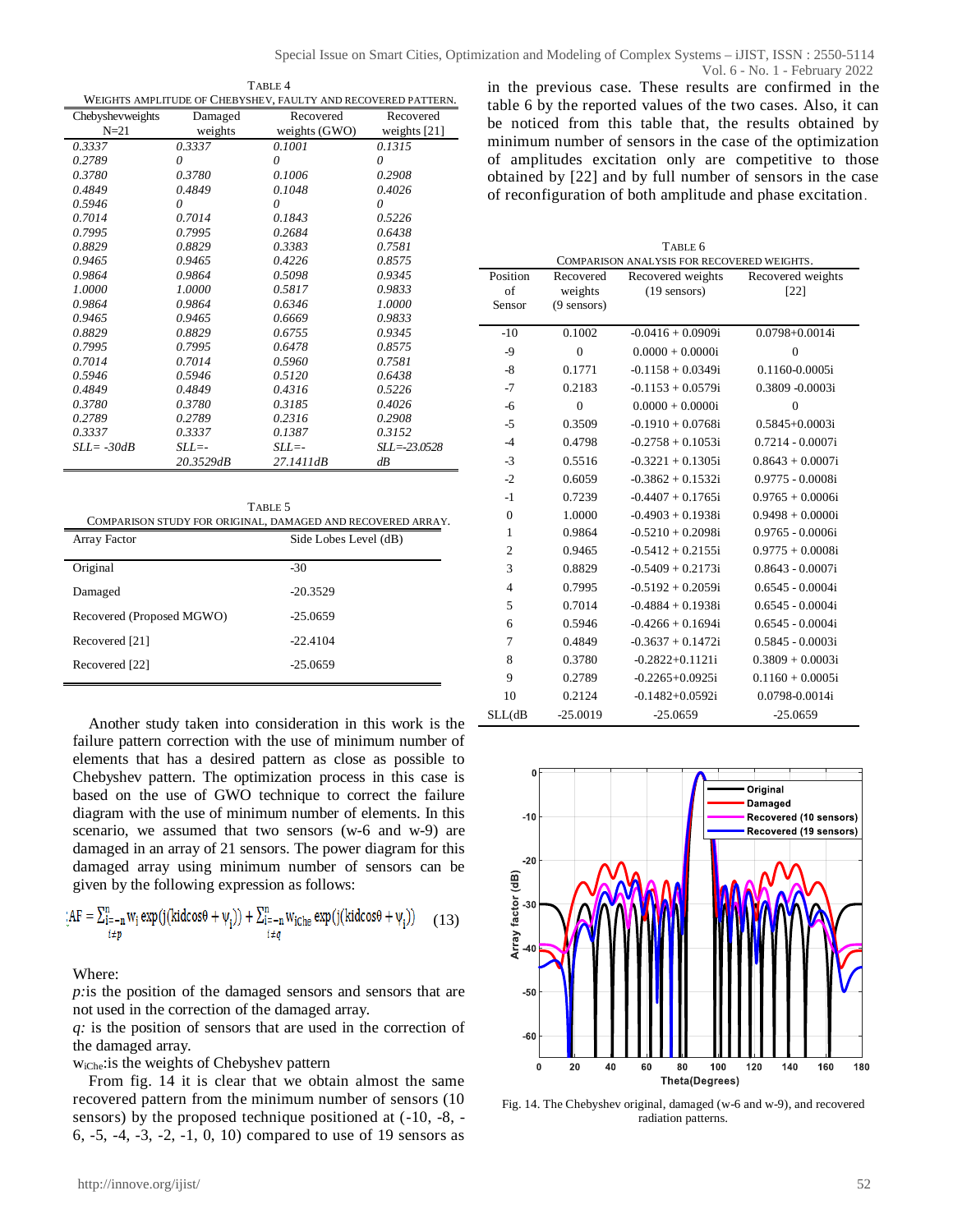| TABLE 4                                                       |
|---------------------------------------------------------------|
| WEIGHTS AMPLITUDE OF CHEBYSHEV, FAULTY AND RECOVERED PATTERN. |

| WEIGHTS AMPLITUDE OF CHED ISHE V, FAULT I AND RECOVERED FAITERN. |           |                 |                  |
|------------------------------------------------------------------|-----------|-----------------|------------------|
| Chebyshevweights                                                 | Damaged   | Recovered       | Recovered        |
| $N=21$                                                           | weights   | weights $(GWO)$ | weights $[21]$   |
| 0.3337                                                           | 0.3337    | 0.1001          | 0.1315           |
| 0.2789                                                           | 0         | 0               | 0                |
| 0.3780                                                           | 0.3780    | 0.1006          | 0.2908           |
| 0.4849                                                           | 0.4849    | 0.1048          | 0.4026           |
| 0.5946                                                           | $\theta$  | $\theta$        | 0                |
| 0.7014                                                           | 0.7014    | 0.1843          | 0.5226           |
| 0.7995                                                           | 0.7995    | 0.2684          | 0.6438           |
| 0.8829                                                           | 0.8829    | 0.3383          | 0.7581           |
| 0.9465                                                           | 0.9465    | 0.4226          | 0.8575           |
| 0.9864                                                           | 0.9864    | 0.5098          | 0.9345           |
| 1.0000                                                           | 1.0000    | 0.5817          | 0.9833           |
| 0.9864                                                           | 0.9864    | 0.6346          | 1.0000           |
| 0.9465                                                           | 0.9465    | 0.6669          | 0.9833           |
| 0.8829                                                           | 0.8829    | 0.6755          | 0.9345           |
| 0.7995                                                           | 0.7995    | 0.6478          | 0.8575           |
| 0.7014                                                           | 0.7014    | 0.5960          | 0.7581           |
| 0.5946                                                           | 0.5946    | 0.5120          | 0.6438           |
| 0.4849                                                           | 0.4849    | 0.4316          | 0.5226           |
| 0.3780                                                           | 0.3780    | 0.3185          | 0.4026           |
| 0.2789                                                           | 0.2789    | 0.2316          | 0.2908           |
| 0.3337                                                           | 0.3337    | 0.1387          | 0.3152           |
| $SLI = -30dB$                                                    | $SLL = -$ | $SLL = -$       | $SLL = -23.0528$ |
|                                                                  | 20.3529dB | 27.1411dB       | dB               |

| TABLE 5<br>COMPARISON STUDY FOR ORIGINAL, DAMAGED AND RECOVERED ARRAY. |                       |  |  |
|------------------------------------------------------------------------|-----------------------|--|--|
| Array Factor                                                           | Side Lobes Level (dB) |  |  |
| Original                                                               | $-30$                 |  |  |
| Damaged                                                                | $-20.3529$            |  |  |
| Recovered (Proposed MGWO)                                              | $-25.0659$            |  |  |
| Recovered [21]                                                         | $-22.4104$            |  |  |
| Recovered [22]                                                         | $-25.0659$            |  |  |

Another study taken into consideration in this work is the failure pattern correction with the use of minimum number of elements that has a desired pattern as close as possible to Chebyshev pattern. The optimization process in this case is based on the use of GWO technique to correct the failure diagram with the use of minimum number of elements. In this scenario, we assumed that two sensors (w-6 and w-9) are damaged in an array of 21 sensors. The power diagram for this damaged array using minimum number of sensors can be given by the following expression as follows:

$$
A\mathbf{F} = \sum_{\substack{i=-n\\i\neq p}}^{n} w_i \exp(j(\text{kidcos}\theta + \psi_i)) + \sum_{\substack{i=-n\\i\neq q}}^{n} w_{i\text{Che}} \exp(j(\text{kidcos}\theta + \psi_i)) \tag{13}
$$

Where:

*p:*is the position of the damaged sensors and sensors that are not used in the correction of the damaged array.

*q:* is the position of sensors that are used in the correction of the damaged array.

wiChe:is the weights of Chebyshev pattern

From fig. 14 it is clear that we obtain almost the same recovered pattern from the minimum number of sensors (10 sensors) by the proposed technique positioned at (-10, -8, - 6, -5, -4, -3, -2, -1, 0, 10) compared to use of 19 sensors as in the previous case. These results are confirmed in the table 6 by the reported values of the two cases. Also, it can be noticed from this table that, the results obtained by minimum number of sensors in the case of the optimization of amplitudes excitation only are competitive to those obtained by [22] and by full number of sensors in the case of reconfiguration of both amplitude and phase excitation. Vol. 6 - No. 1 - February 2022

| TABLE 6                                    |                      |                                     |                             |
|--------------------------------------------|----------------------|-------------------------------------|-----------------------------|
| COMPARISON ANALYSIS FOR RECOVERED WEIGHTS. |                      |                                     |                             |
| Position<br>of                             | Recovered<br>weights | Recovered weights<br>$(19$ sensors) | Recovered weights<br>$[22]$ |
| Sensor                                     | $(9$ sensors)        |                                     |                             |
|                                            |                      |                                     |                             |
| $-10$                                      | 0.1002               | $-0.0416 + 0.0909i$                 | $0.0798 + 0.0014i$          |
| $-9$                                       | $\theta$             | $0.0000 + 0.0000i$                  | $\theta$                    |
| $-8$                                       | 0.1771               | $-0.1158 + 0.0349i$                 | 0.1160-0.0005i              |
| $-7$                                       | 0.2183               | $-0.1153 + 0.0579$ i                | 0.3809 -0.0003i             |
| $-6$                                       | $\theta$             | $0.0000 + 0.0000i$                  | $\overline{0}$              |
| -5                                         | 0.3509               | $-0.1910 + 0.0768$ i                | $0.5845 + 0.0003i$          |
| $-4$                                       | 0.4798               | $-0.2758 + 0.1053i$                 | $0.7214 - 0.0007i$          |
| $-3$                                       | 0.5516               | $-0.3221 + 0.1305$ i                | $0.8643 + 0.0007i$          |
| $-2$                                       | 0.6059               | $-0.3862 + 0.1532i$                 | $0.9775 - 0.0008i$          |
| $-1$                                       | 0.7239               | $-0.4407 + 0.1765$ i                | $0.9765 + 0.0006i$          |
| $\overline{0}$                             | 1.0000               | $-0.4903 + 0.1938$ i                | $0.9498 + 0.0000i$          |
| 1                                          | 0.9864               | $-0.5210 + 0.2098i$                 | $0.9765 - 0.0006i$          |
| $\overline{2}$                             | 0.9465               | $-0.5412 + 0.2155i$                 | $0.9775 + 0.0008i$          |
| 3                                          | 0.8829               | $-0.5409 + 0.2173i$                 | $0.8643 - 0.0007i$          |
| $\overline{4}$                             | 0.7995               | $-0.5192 + 0.2059$ i                | $0.6545 - 0.0004i$          |
| 5                                          | 0.7014               | $-0.4884 + 0.1938i$                 | $0.6545 - 0.0004i$          |
| 6                                          | 0.5946               | $-0.4266 + 0.1694i$                 | $0.6545 - 0.0004i$          |
| 7                                          | 0.4849               | $-0.3637 + 0.1472i$                 | $0.5845 - 0.0003i$          |
| 8                                          | 0.3780               | $-0.2822+0.1121i$                   | $0.3809 + 0.0003i$          |
| 9                                          | 0.2789               | $-0.2265+0.0925i$                   | $0.1160 + 0.0005i$          |
| 10                                         | 0.2124               | $-0.1482 + 0.0592i$                 | 0.0798-0.0014i              |
| $SLL$ (dB                                  | $-25.0019$           | $-25.0659$                          | $-25.0659$                  |



Fig. 14. The Chebyshev original, damaged (w-6 and w-9), and recovered radiation patterns.